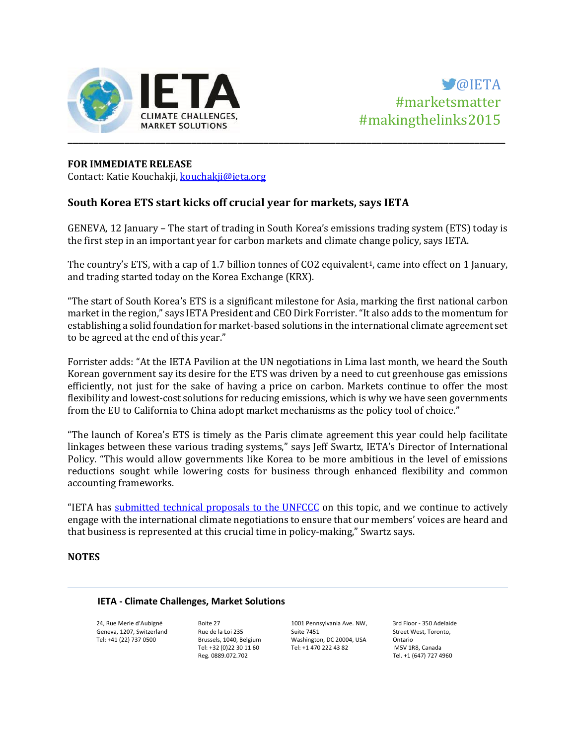

# **FOR IMMEDIATE RELEASE**

Contact: Katie Kouchakji[, kouchakji@ieta.org](mailto:kouchakji@ieta.org)

## **South Korea ETS start kicks off crucial year for markets, says IETA**

GENEVA, 12 January – The start of trading in South Korea's emissions trading system (ETS) today is the first step in an important year for carbon markets and climate change policy, says IETA.

The country's ETS, with a cap of 1.7 billion tonnes of CO2 equivalent<sup>1</sup>, came into effect on 1 January, and trading started today on the Korea Exchange (KRX).

"The start of South Korea's ETS is a significant milestone for Asia, marking the first national carbon market in the region," says IETA President and CEO Dirk Forrister. "It also adds to the momentum for establishing a solid foundation for market-based solutions in the international climate agreement set to be agreed at the end of this year."

Forrister adds: "At the IETA Pavilion at the UN negotiations in Lima last month, we heard the South Korean government say its desire for the ETS was driven by a need to cut greenhouse gas emissions efficiently, not just for the sake of having a price on carbon. Markets continue to offer the most flexibility and lowest-cost solutions for reducing emissions, which is why we have seen governments from the EU to California to China adopt market mechanisms as the policy tool of choice."

"The launch of Korea's ETS is timely as the Paris climate agreement this year could help facilitate linkages between these various trading systems," says Jeff Swartz, IETA's Director of International Policy. "This would allow governments like Korea to be more ambitious in the level of emissions reductions sought while lowering costs for business through enhanced flexibility and common accounting frameworks.

"IETA has [submitted technical proposals to the UNFCCC](http://www.ieta.org/unfccc-submissions) on this topic, and we continue to actively engage with the international climate negotiations to ensure that our members' voices are heard and that business is represented at this crucial time in policy-making," Swartz says.

### **NOTES**

#### **IETA - Climate Challenges, Market Solutions**

24, Rue Merle d'Aubigné Geneva, 1207, Switzerland Tel: +41 (22) 737 0500

Boite 27 Rue de la Loi 235 Brussels, 1040, Belgium Tel: +32 (0)22 30 11 60 Reg. 0889.072.702

1001 Pennsylvania Ave. NW, Suite 7451 Washington, DC 20004, USA Tel: +1 470 222 43 82

3rd Floor - 350 Adelaide Street West, Toronto, Ontario M5V 1R8, Canada Tel. +1 (647) 727 4960